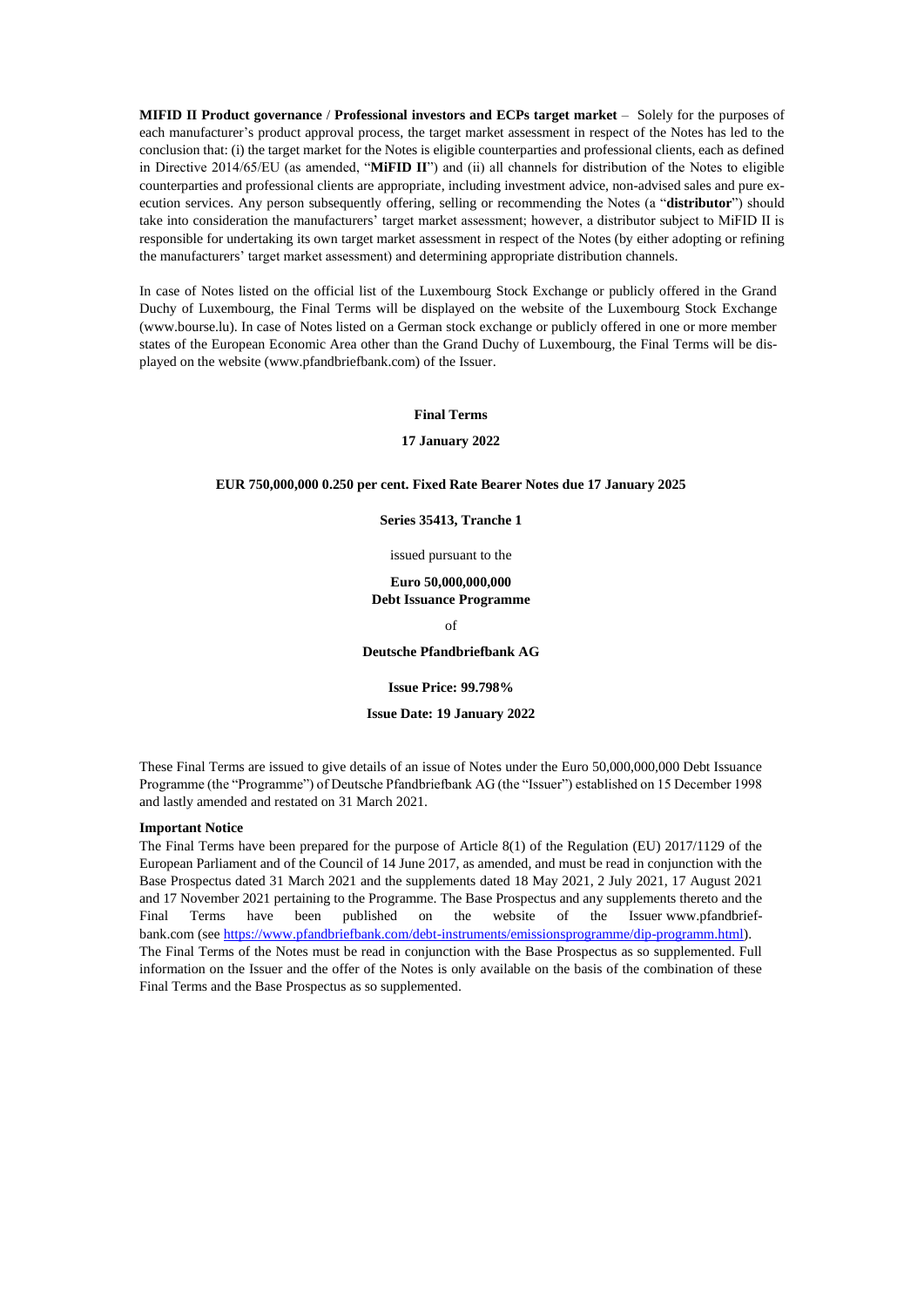**MIFID II Product governance** / **Professional investors and ECPs target market** – Solely for the purposes of each manufacturer's product approval process, the target market assessment in respect of the Notes has led to the conclusion that: (i) the target market for the Notes is eligible counterparties and professional clients, each as defined in Directive 2014/65/EU (as amended, "**MiFID II**") and (ii) all channels for distribution of the Notes to eligible counterparties and professional clients are appropriate, including investment advice, non-advised sales and pure execution services. Any person subsequently offering, selling or recommending the Notes (a "**distributor**") should take into consideration the manufacturers' target market assessment; however, a distributor subject to MiFID II is responsible for undertaking its own target market assessment in respect of the Notes (by either adopting or refining the manufacturers' target market assessment) and determining appropriate distribution channels.

In case of Notes listed on the official list of the Luxembourg Stock Exchange or publicly offered in the Grand Duchy of Luxembourg, the Final Terms will be displayed on the website of the Luxembourg Stock Exchange (www.bourse.lu). In case of Notes listed on a German stock exchange or publicly offered in one or more member states of the European Economic Area other than the Grand Duchy of Luxembourg, the Final Terms will be displayed on the website (www.pfandbriefbank.com) of the Issuer.

#### **Final Terms**

#### **17 January 2022**

#### **EUR 750,000,000 0.250 per cent. Fixed Rate Bearer Notes due 17 January 2025**

**Series 35413, Tranche 1**

issued pursuant to the

**Euro 50,000,000,000 Debt Issuance Programme**

of

**Deutsche Pfandbriefbank AG**

**Issue Price: 99.798%**

**Issue Date: 19 January 2022**

These Final Terms are issued to give details of an issue of Notes under the Euro 50,000,000,000 Debt Issuance Programme (the "Programme") of Deutsche Pfandbriefbank AG (the "Issuer") established on 15 December 1998 and lastly amended and restated on 31 March 2021.

### **Important Notice**

The Final Terms have been prepared for the purpose of Article 8(1) of the Regulation (EU) 2017/1129 of the European Parliament and of the Council of 14 June 2017, as amended, and must be read in conjunction with the Base Prospectus dated 31 March 2021 and the supplements dated 18 May 2021, 2 July 2021, 17 August 2021 and 17 November 2021 pertaining to the Programme. The Base Prospectus and any supplements thereto and the Final Terms have been published on the website of the Issuer www.pfandbriefbank.com (see [https://www.pfandbriefbank.com/debt-instruments/emissionsprogramme/dip-programm.html\)](https://www.pfandbriefbank.com/debt-instruments/emissionsprogramme/dip-programm.html). The Final Terms of the Notes must be read in conjunction with the Base Prospectus as so supplemented. Full information on the Issuer and the offer of the Notes is only available on the basis of the combination of these Final Terms and the Base Prospectus as so supplemented.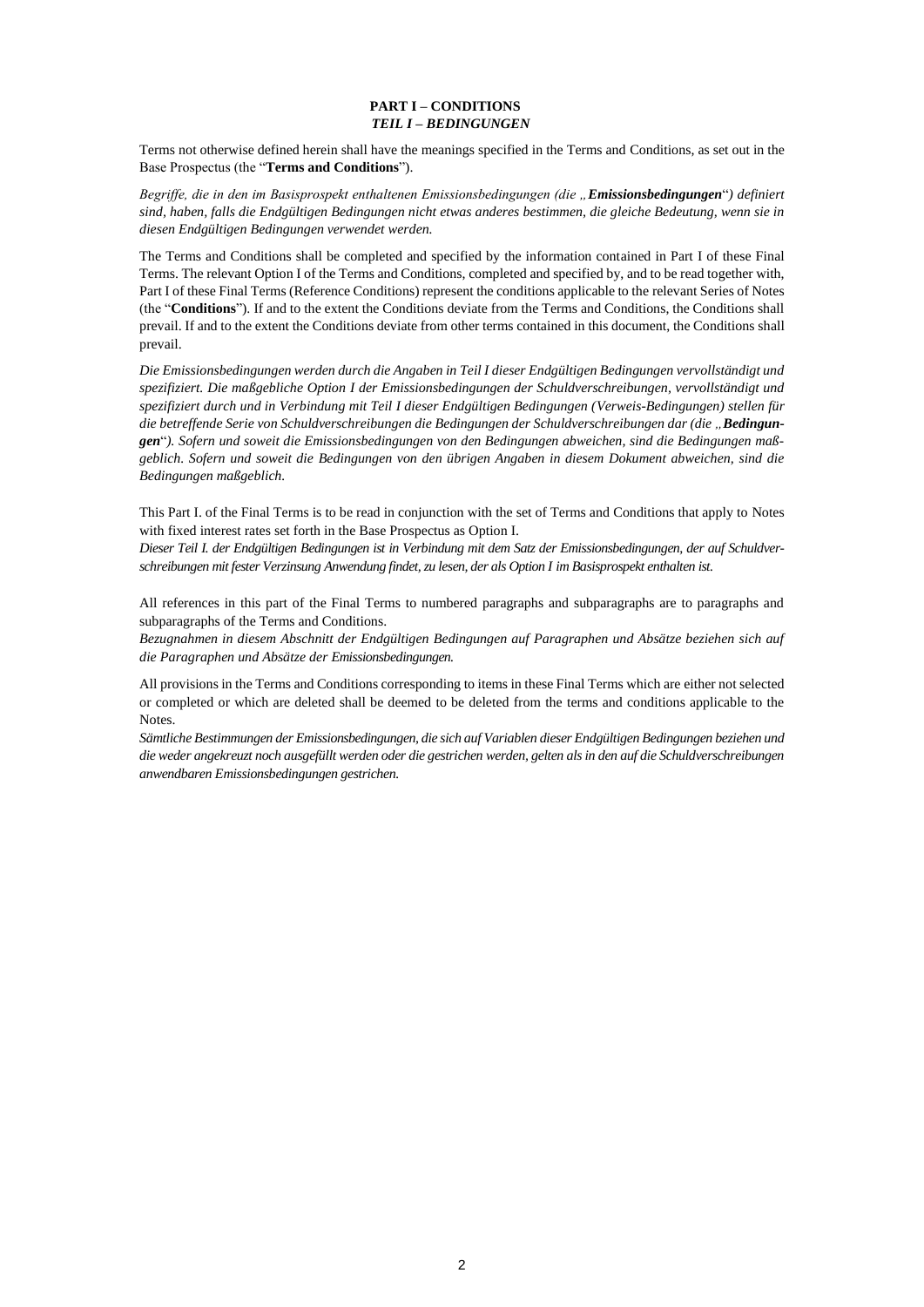# **PART I – CONDITIONS** *TEIL I – BEDINGUNGEN*

Terms not otherwise defined herein shall have the meanings specified in the Terms and Conditions, as set out in the Base Prospectus (the "**Terms and Conditions**").

*Begriffe, die in den im Basisprospekt enthaltenen Emissionsbedingungen (die "Emissionsbedingungen*"*) definiert sind, haben, falls die Endgültigen Bedingungen nicht etwas anderes bestimmen, die gleiche Bedeutung, wenn sie in diesen Endgültigen Bedingungen verwendet werden.* 

The Terms and Conditions shall be completed and specified by the information contained in Part I of these Final Terms. The relevant Option I of the Terms and Conditions, completed and specified by, and to be read together with, Part I of these Final Terms (Reference Conditions) represent the conditions applicable to the relevant Series of Notes (the "**Conditions**"). If and to the extent the Conditions deviate from the Terms and Conditions, the Conditions shall prevail. If and to the extent the Conditions deviate from other terms contained in this document, the Conditions shall prevail.

*Die Emissionsbedingungen werden durch die Angaben in Teil I dieser Endgültigen Bedingungen vervollständigt und spezifiziert. Die maßgebliche Option I der Emissionsbedingungen der Schuldverschreibungen, vervollständigt und spezifiziert durch und in Verbindung mit Teil I dieser Endgültigen Bedingungen (Verweis-Bedingungen) stellen für die betreffende Serie von Schuldverschreibungen die Bedingungen der Schuldverschreibungen dar (die "Bedingungen*"*). Sofern und soweit die Emissionsbedingungen von den Bedingungen abweichen, sind die Bedingungen maßgeblich. Sofern und soweit die Bedingungen von den übrigen Angaben in diesem Dokument abweichen, sind die Bedingungen maßgeblich.*

This Part I. of the Final Terms is to be read in conjunction with the set of Terms and Conditions that apply to Notes with fixed interest rates set forth in the Base Prospectus as Option I.

*Dieser Teil I. der Endgültigen Bedingungen ist in Verbindung mit dem Satz der Emissionsbedingungen, der auf Schuldverschreibungen mit fester Verzinsung Anwendung findet, zu lesen, der als Option I im Basisprospekt enthalten ist.* 

All references in this part of the Final Terms to numbered paragraphs and subparagraphs are to paragraphs and subparagraphs of the Terms and Conditions.

*Bezugnahmen in diesem Abschnitt der Endgültigen Bedingungen auf Paragraphen und Absätze beziehen sich auf die Paragraphen und Absätze der Emissionsbedingungen.*

All provisions in the Terms and Conditions corresponding to items in these Final Terms which are either not selected or completed or which are deleted shall be deemed to be deleted from the terms and conditions applicable to the Notes.

*Sämtliche Bestimmungen der Emissionsbedingungen, die sich auf Variablen dieser Endgültigen Bedingungen beziehen und die weder angekreuzt noch ausgefüllt werden oder die gestrichen werden, gelten als in den auf die Schuldverschreibungen anwendbaren Emissionsbedingungen gestrichen.*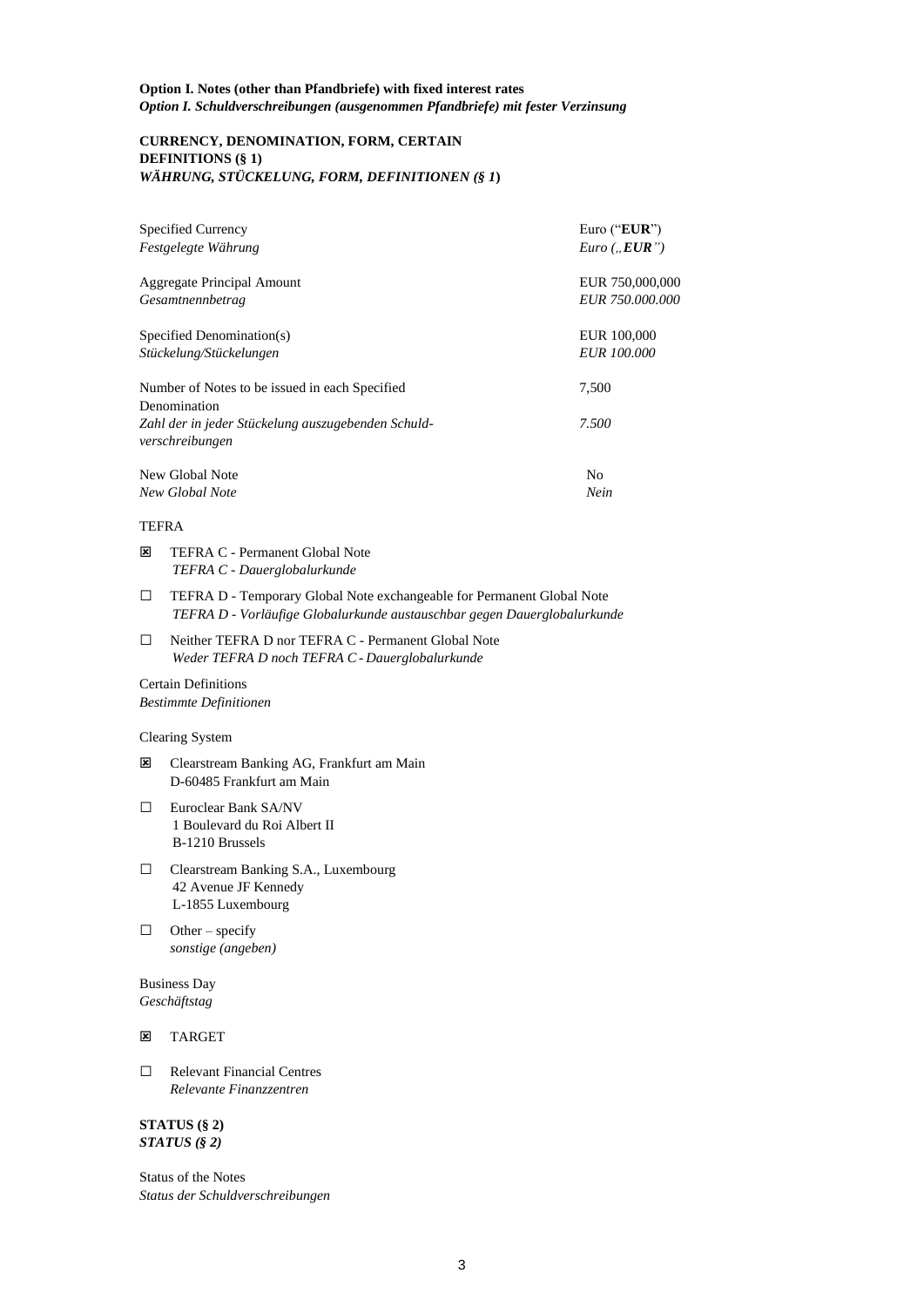# **CURRENCY, DENOMINATION, FORM, CERTAIN DEFINITIONS (§ 1)** *WÄHRUNG, STÜCKELUNG, FORM, DEFINITIONEN (§ 1***)**

| <b>Specified Currency</b>                                             | Euro (" $EUR$ ")       |
|-----------------------------------------------------------------------|------------------------|
| Festgelegte Währung                                                   | $Euro$ ( $EUR$ ")      |
| Aggregate Principal Amount                                            | EUR 750,000,000        |
| Gesamtnennbetrag                                                      | <i>EUR 750.000.000</i> |
| Specified Denomination(s)                                             | EUR 100,000            |
| Stückelung/Stückelungen                                               | <b>EUR 100.000</b>     |
| Number of Notes to be issued in each Specified<br>Denomination        | 7,500                  |
| Zahl der in jeder Stückelung auszugebenden Schuld-<br>verschreibungen | 7.500                  |
| New Global Note                                                       | No                     |
| New Global Note                                                       | Nein                   |

# TEFRA

- **E** TEFRA C Permanent Global Note *TEFRA C - Dauerglobalurkunde*
- □ TEFRA D Temporary Global Note exchangeable for Permanent Global Note *TEFRA D - Vorläufige Globalurkunde austauschbar gegen Dauerglobalurkunde*
- □ Neither TEFRA D nor TEFRA C Permanent Global Note *Weder TEFRA D noch TEFRA C* - *Dauerglobalurkunde*

### Certain Definitions *Bestimmte Definitionen*

# Clearing System

- **E** Clearstream Banking AG, Frankfurt am Main D-60485 Frankfurt am Main
- □ Euroclear Bank SA/NV 1 Boulevard du Roi Albert II B-1210 Brussels
- □ Clearstream Banking S.A., Luxembourg 42 Avenue JF Kennedy L-1855 Luxembourg
- $\Box$  Other specify *sonstige (angeben)*

Business Day *Geschäftstag*

# **E** TARGET

□ Relevant Financial Centres *Relevante Finanzzentren*

**STATUS (§ 2)**  *STATUS (§ 2)*

Status of the Notes *Status der Schuldverschreibungen*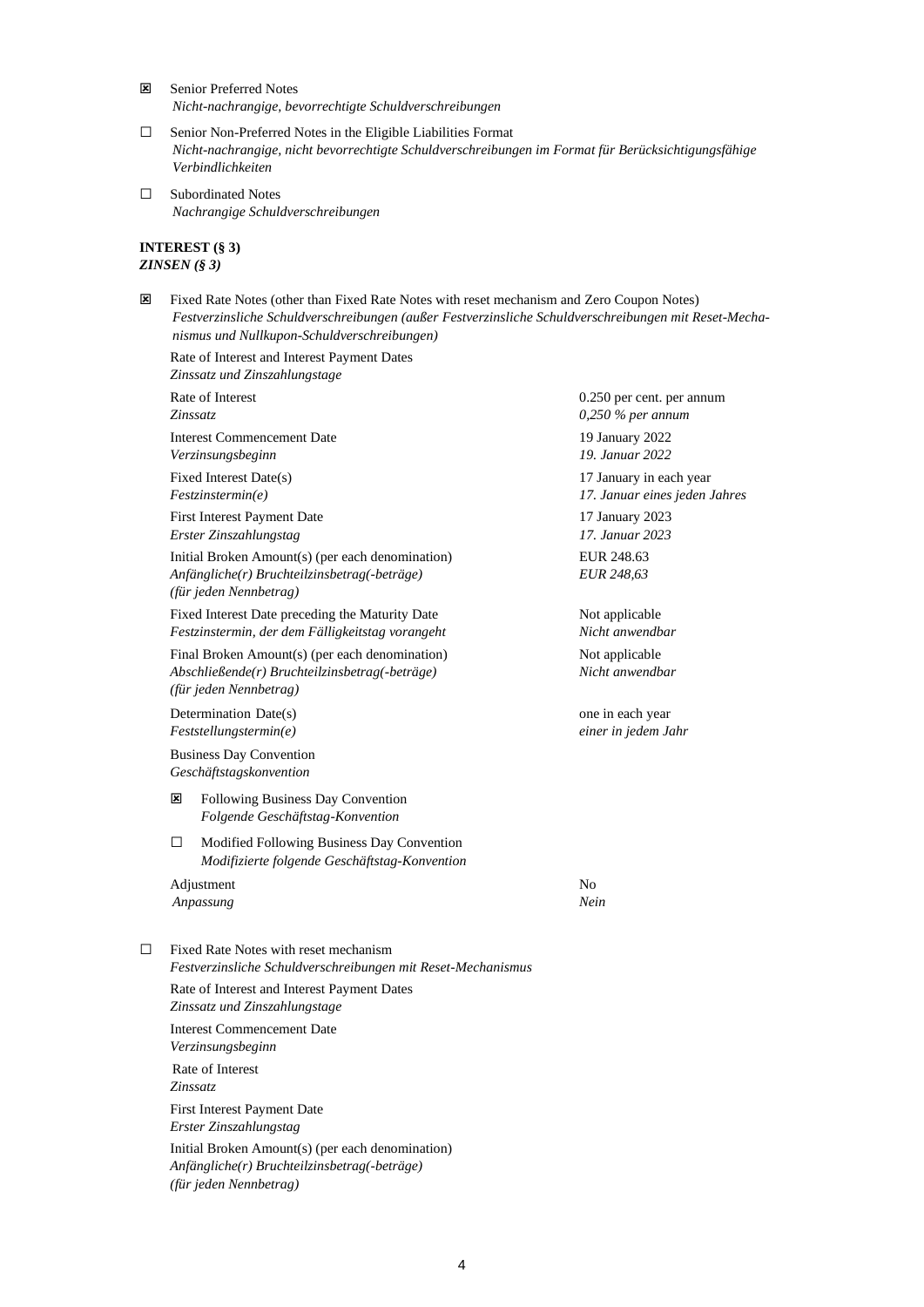- Senior Preferred Notes *Nicht-nachrangige, bevorrechtigte Schuldverschreibungen*
- □ Senior Non-Preferred Notes in the Eligible Liabilities Format *Nicht-nachrangige, nicht bevorrechtigte Schuldverschreibungen im Format für Berücksichtigungsfähige Verbindlichkeiten*
- □ Subordinated Notes *Nachrangige Schuldverschreibungen*

# **INTEREST (§ 3)** *ZINSEN (§ 3)*

 Fixed Rate Notes (other than Fixed Rate Notes with reset mechanism and Zero Coupon Notes) *Festverzinsliche Schuldverschreibungen (außer Festverzinsliche Schuldverschreibungen mit Reset-Mechanismus und Nullkupon-Schuldverschreibungen)*

Rate of Interest and Interest Payment Dates *Zinssatz und Zinszahlungstage*

|                                                                                                     | Rate of Interest<br>Zinssatz                                                                                               |                                                                                                       | 0.250 per cent. per annum<br>$0,250\%$ per annum         |  |
|-----------------------------------------------------------------------------------------------------|----------------------------------------------------------------------------------------------------------------------------|-------------------------------------------------------------------------------------------------------|----------------------------------------------------------|--|
|                                                                                                     |                                                                                                                            | <b>Interest Commencement Date</b><br>Verzinsungsbeginn                                                | 19 January 2022<br>19. Januar 2022                       |  |
|                                                                                                     |                                                                                                                            | Fixed Interest Date(s)<br>Festzinstein.                                                               | 17 January in each year<br>17. Januar eines jeden Jahres |  |
|                                                                                                     |                                                                                                                            | <b>First Interest Payment Date</b><br>Erster Zinszahlungstag                                          | 17 January 2023<br>17. Januar 2023                       |  |
|                                                                                                     | Initial Broken Amount(s) (per each denomination)<br>Anfängliche(r) Bruchteilzinsbetrag(-beträge)<br>(für jeden Nennbetrag) |                                                                                                       | EUR 248.63<br>EUR 248,63                                 |  |
| Fixed Interest Date preceding the Maturity Date<br>Festzinstermin, der dem Fälligkeitstag vorangeht |                                                                                                                            |                                                                                                       | Not applicable<br>Nicht anwendbar                        |  |
|                                                                                                     | Final Broken Amount(s) (per each denomination)<br>Abschließende(r) Bruchteilzinsbetrag(-beträge)<br>(für jeden Nennbetrag) |                                                                                                       | Not applicable<br>Nicht anwendbar                        |  |
|                                                                                                     | Determination Date(s)<br>Feststellungstermin(e)                                                                            |                                                                                                       | one in each year<br>einer in jedem Jahr                  |  |
|                                                                                                     | <b>Business Day Convention</b><br>Geschäftstagskonvention                                                                  |                                                                                                       |                                                          |  |
|                                                                                                     | ×                                                                                                                          | Following Business Day Convention<br>Folgende Geschäftstag-Konvention                                 |                                                          |  |
|                                                                                                     | □                                                                                                                          | Modified Following Business Day Convention<br>Modifizierte folgende Geschäftstag-Konvention           |                                                          |  |
|                                                                                                     |                                                                                                                            | Adjustment<br>Anpassung                                                                               | N <sub>0</sub><br>Nein                                   |  |
| $\Box$                                                                                              |                                                                                                                            | Fixed Rate Notes with reset mechanism<br>Festverzinsliche Schuldverschreibungen mit Reset-Mechanismus |                                                          |  |
|                                                                                                     |                                                                                                                            | Rate of Interest and Interest Payment Dates<br>Zinssatz und Zinszahlungstage                          |                                                          |  |
|                                                                                                     |                                                                                                                            | <b>Interest Commencement Date</b><br>Verzinsungsbeginn                                                |                                                          |  |
|                                                                                                     | Rate of Interest                                                                                                           |                                                                                                       |                                                          |  |

*Zinssatz*

First Interest Payment Date *Erster Zinszahlungstag*

Initial Broken Amount(s) (per each denomination) *Anfängliche(r) Bruchteilzinsbetrag(-beträge) (für jeden Nennbetrag)*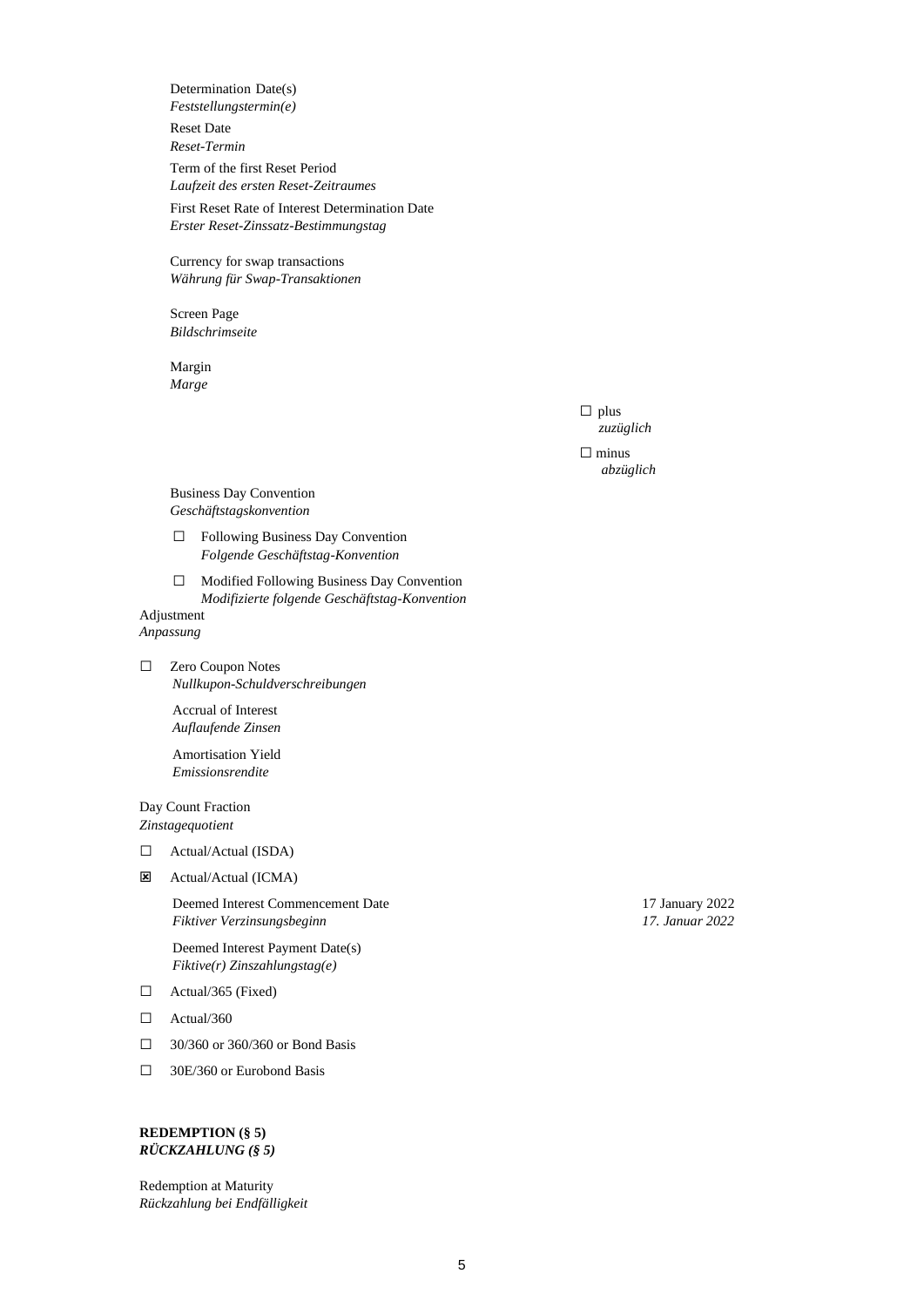Determination Date(s) *Feststellungstermin(e)* Reset Date

*Reset-Termin* 

Term of the first Reset Period *Laufzeit des ersten Reset-Zeitraumes*

First Reset Rate of Interest Determination Date *Erster Reset-Zinssatz-Bestimmungstag*

Currency for swap transactions *Währung für Swap-Transaktionen*

Screen Page *Bildschrimseite*

Margin *Marge* 

> $\square$  plus *zuzüglich*

□ minus *abzüglich*

Business Day Convention *Geschäftstagskonvention*

- □ Following Business Day Convention *Folgende Geschäftstag-Konvention*
- □ Modified Following Business Day Convention *Modifizierte folgende Geschäftstag-Konvention*

# Adjustment *Anpassung*

□ Zero Coupon Notes *Nullkupon-Schuldverschreibungen*

> Accrual of Interest *Auflaufende Zinsen*

> Amortisation Yield *Emissionsrendite*

Day Count Fraction *Zinstagequotient*

- □ Actual/Actual (ISDA)
- Actual/Actual (ICMA)

Deemed Interest Commencement Date 17 January 2022 *Fiktiver Verzinsungsbeginn 17. Januar 2022*

Deemed Interest Payment Date(s) *Fiktive(r) Zinszahlungstag(e)*

- □ Actual/365 (Fixed)
- □ Actual/360
- □ 30/360 or 360/360 or Bond Basis
- □ 30E/360 or Eurobond Basis

# **REDEMPTION (§ 5)** *RÜCKZAHLUNG (§ 5)*

Redemption at Maturity *Rückzahlung bei Endfälligkeit*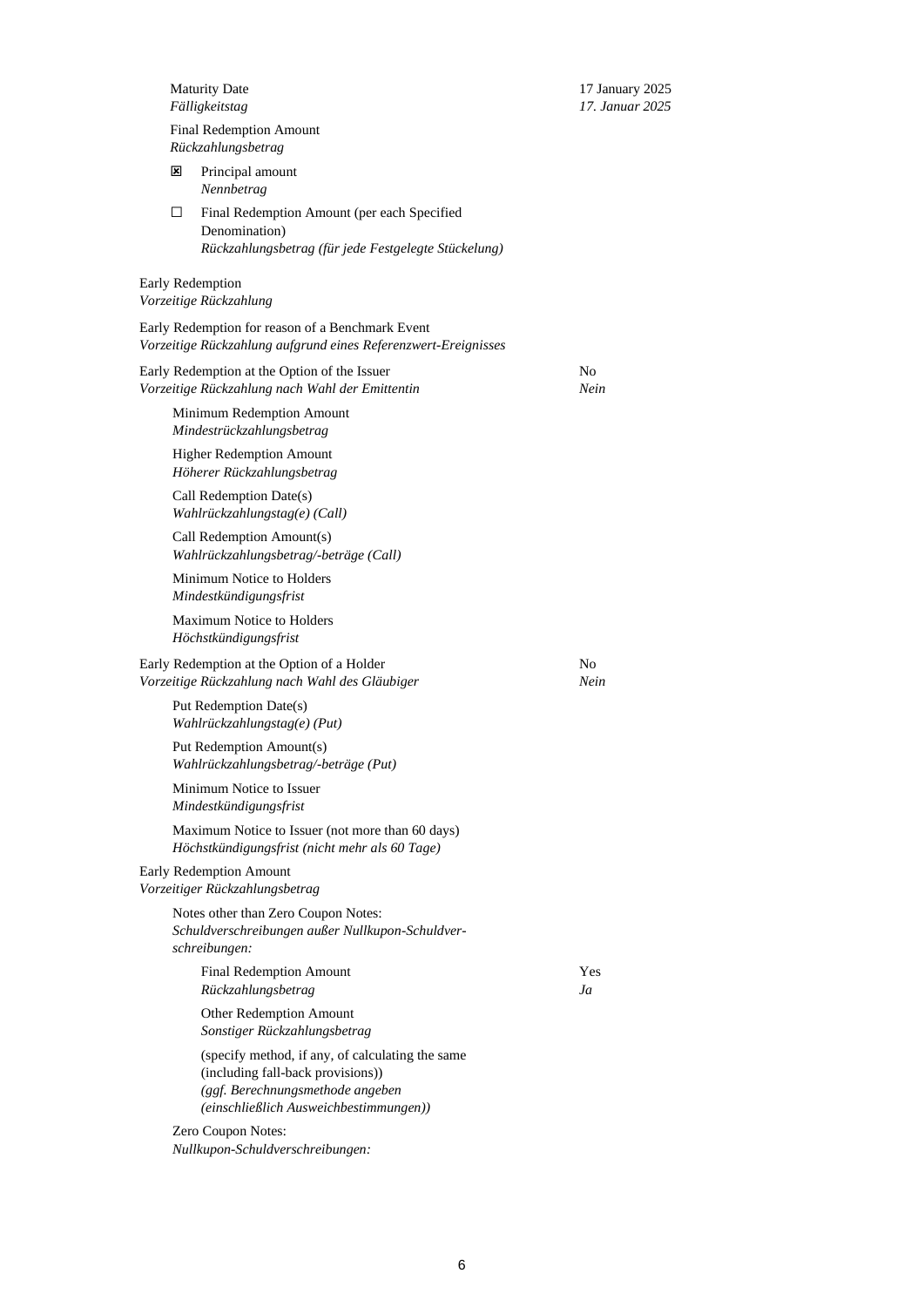*Fälligkeitstag 17. Januar 2025*

Maturity Date 17 January 2025

|   | <b>Final Redemption Amount</b><br>Rückzahlungsbetrag                                                                                                                |            |
|---|---------------------------------------------------------------------------------------------------------------------------------------------------------------------|------------|
| ⊠ | Principal amount<br>Nennbetrag                                                                                                                                      |            |
| □ | Final Redemption Amount (per each Specified<br>Denomination)<br>Rückzahlungsbetrag (für jede Festgelegte Stückelung)                                                |            |
|   | <b>Early Redemption</b><br>Vorzeitige Rückzahlung                                                                                                                   |            |
|   | Early Redemption for reason of a Benchmark Event<br>Vorzeitige Rückzahlung aufgrund eines Referenzwert-Ereignisses                                                  |            |
|   | Early Redemption at the Option of the Issuer<br>Vorzeitige Rückzahlung nach Wahl der Emittentin                                                                     | No<br>Nein |
|   | Minimum Redemption Amount<br>Mindestrückzahlungsbetrag                                                                                                              |            |
|   | <b>Higher Redemption Amount</b><br>Höherer Rückzahlungsbetrag                                                                                                       |            |
|   | Call Redemption Date(s)<br>Wahlrückzahlungstag(e) (Call)                                                                                                            |            |
|   | Call Redemption Amount(s)<br>Wahlrückzahlungsbetrag/-beträge (Call)                                                                                                 |            |
|   | Minimum Notice to Holders<br>Mindestkündigungsfrist                                                                                                                 |            |
|   | <b>Maximum Notice to Holders</b><br>Höchstkündigungsfrist                                                                                                           |            |
|   | Early Redemption at the Option of a Holder<br>Vorzeitige Rückzahlung nach Wahl des Gläubiger                                                                        | No<br>Nein |
|   | Put Redemption Date(s)<br>Wahlrückzahlungstag(e) (Put)                                                                                                              |            |
|   | Put Redemption Amount(s)<br>Wahlrückzahlungsbetrag/-beträge (Put)                                                                                                   |            |
|   | Minimum Notice to Issuer<br>Mindestkündigungsfrist                                                                                                                  |            |
|   | Maximum Notice to Issuer (not more than 60 days)<br>Höchstkündigungsfrist (nicht mehr als 60 Tage)                                                                  |            |
|   | Early Redemption Amount<br>Vorzeitiger Rückzahlungsbetrag                                                                                                           |            |
|   | Notes other than Zero Coupon Notes:<br>Schuldverschreibungen außer Nullkupon-Schuldver-<br>schreibungen:                                                            |            |
|   | <b>Final Redemption Amount</b><br>Rückzahlungsbetrag                                                                                                                | Yes<br>Ja  |
|   | Other Redemption Amount<br>Sonstiger Rückzahlungsbetrag                                                                                                             |            |
|   | (specify method, if any, of calculating the same<br>(including fall-back provisions))<br>(ggf. Berechnungsmethode angeben<br>(einschließlich Ausweichbestimmungen)) |            |
|   | Zero Coupon Notes:                                                                                                                                                  |            |

*Nullkupon-Schuldverschreibungen:*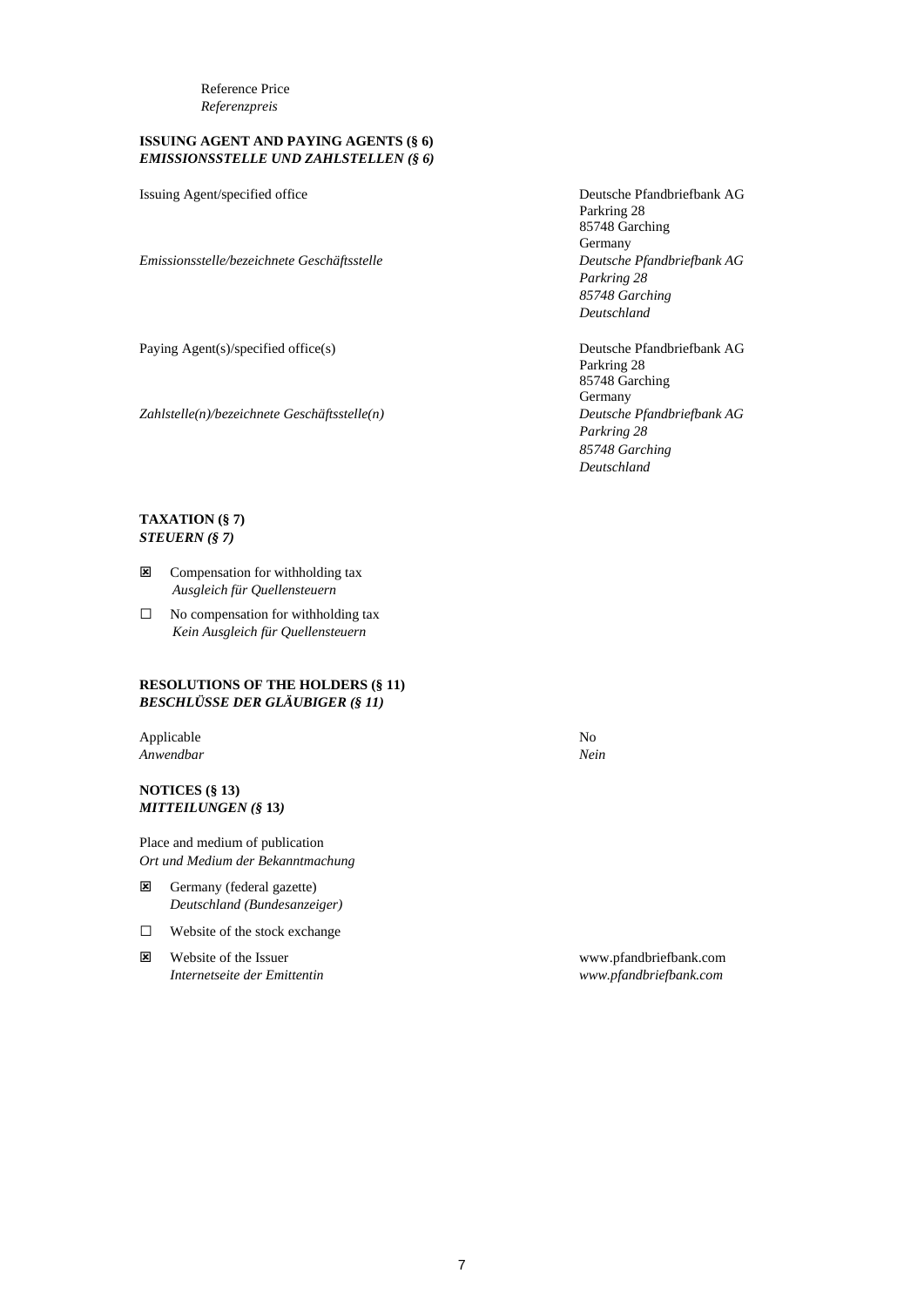Reference Price *Referenzpreis*

# **ISSUING AGENT AND PAYING AGENTS (§ 6)** *EMISSIONSSTELLE UND ZAHLSTELLEN (§ 6)*

*Emissionsstelle/bezeichnete Geschäftsstelle Deutsche Pfandbriefbank AG*

Paying Agent(s)/specified office(s) Deutsche Pfandbriefbank AG

*Zahlstelle(n)/bezeichnete Geschäftsstelle(n) Deutsche Pfandbriefbank AG*

Issuing Agent/specified office Deutsche Pfandbriefbank AG Parkring 28 85748 Garching Germany *Parkring 28 85748 Garching Deutschland*

> Parkring 28 85748 Garching Germany *Parkring 28 85748 Garching Deutschland*

# **TAXATION (§ 7)** *STEUERN (§ 7)*

- **E** Compensation for withholding tax *Ausgleich für Quellensteuern*
- □ No compensation for withholding tax *Kein Ausgleich für Quellensteuern*

### **RESOLUTIONS OF THE HOLDERS (§ 11)** *BESCHLÜSSE DER GLÄUBIGER (§ 11)*

Applicable No *Anwendbar Nein*

**NOTICES (§ 13)** *MITTEILUNGEN (§* **13***)*

Place and medium of publication *Ort und Medium der Bekanntmachung*

- Germany (federal gazette) *Deutschland (Bundesanzeiger)*
- □ Website of the stock exchange
- Website of the Issuer www.pfandbriefbank.com *Internetseite der Emittentin www.pfandbriefbank.com*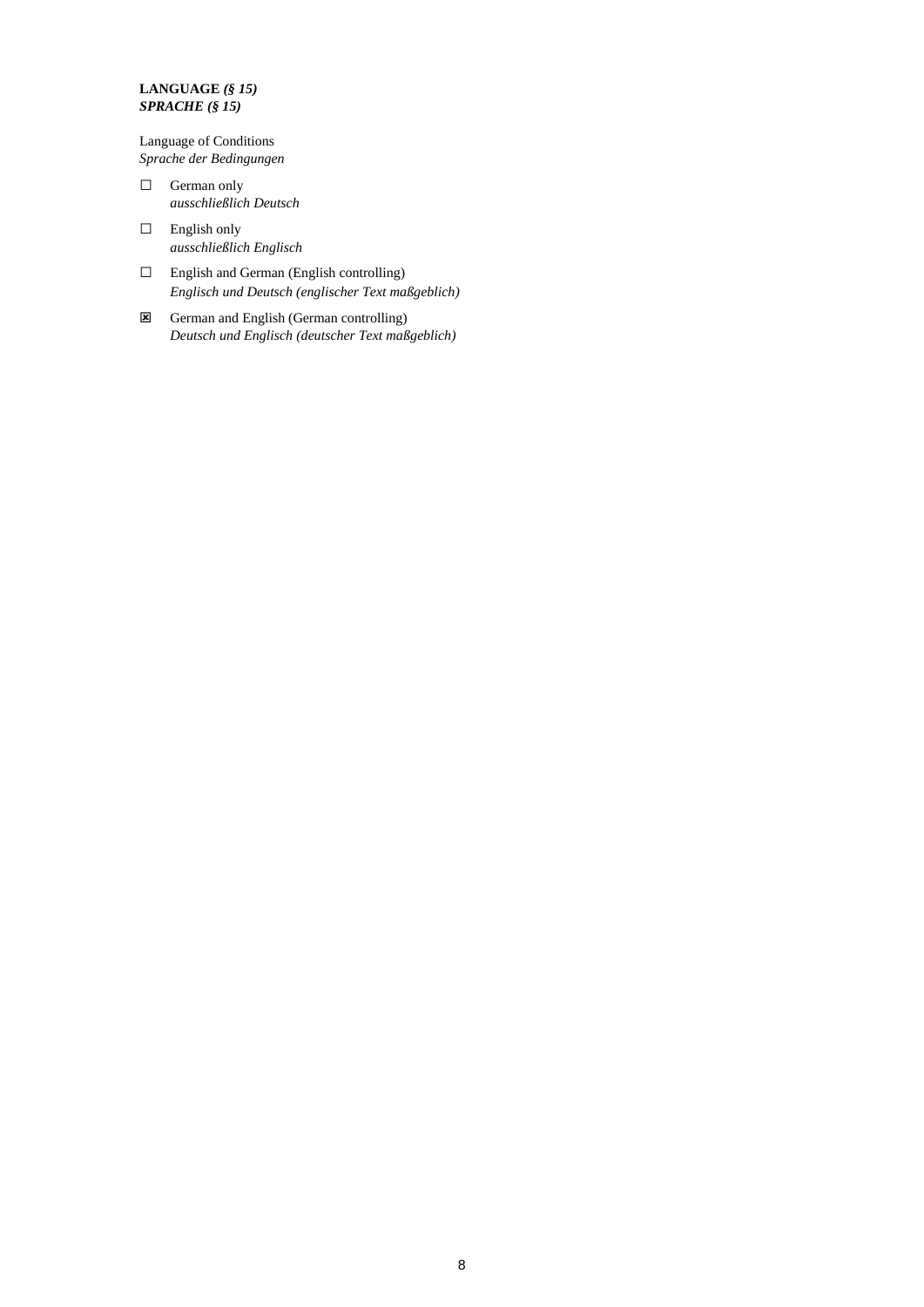# **LANGUAGE** *(§ 15) SPRACHE (§ 15)*

Language of Conditions *Sprache der Bedingungen*

- □ German only *ausschließlich Deutsch*
- □ English only *ausschließlich Englisch*
- □ English and German (English controlling) *Englisch und Deutsch (englischer Text maßgeblich)*
- German and English (German controlling) *Deutsch und Englisch (deutscher Text maßgeblich)*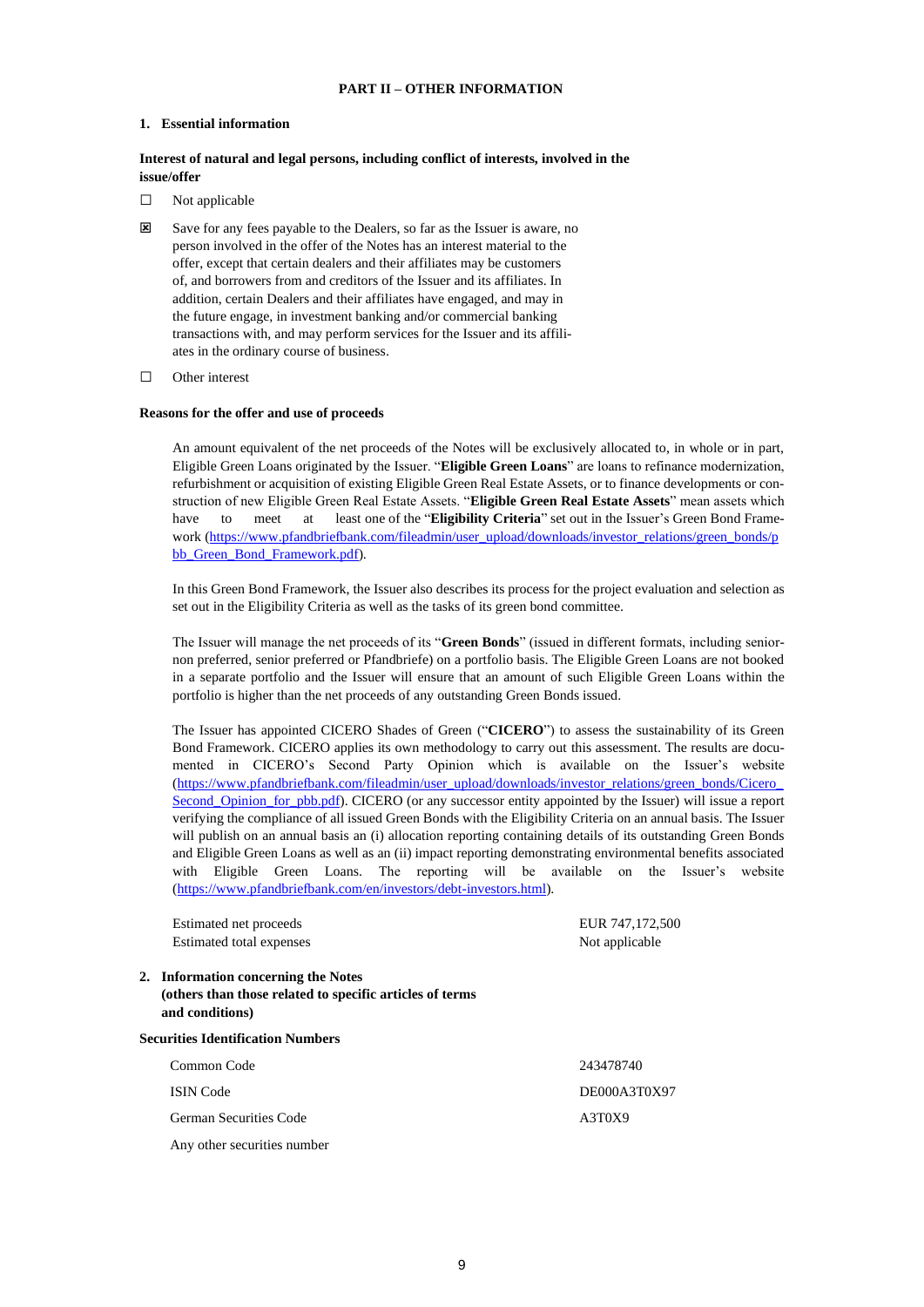# **PART II – OTHER INFORMATION**

#### **1. Essential information**

# **Interest of natural and legal persons, including conflict of interests, involved in the issue/offer**

- □ Not applicable
- Save for any fees payable to the Dealers, so far as the Issuer is aware, no person involved in the offer of the Notes has an interest material to the offer, except that certain dealers and their affiliates may be customers of, and borrowers from and creditors of the Issuer and its affiliates. In addition, certain Dealers and their affiliates have engaged, and may in the future engage, in investment banking and/or commercial banking transactions with, and may perform services for the Issuer and its affiliates in the ordinary course of business.
- □ Other interest

#### **Reasons for the offer and use of proceeds**

An amount equivalent of the net proceeds of the Notes will be exclusively allocated to, in whole or in part, Eligible Green Loans originated by the Issuer. "**Eligible Green Loans**" are loans to refinance modernization, refurbishment or acquisition of existing Eligible Green Real Estate Assets, or to finance developments or construction of new Eligible Green Real Estate Assets. "**Eligible Green Real Estate Assets**" mean assets which have to meet at least one of the "**Eligibility Criteria**" set out in the Issuer's Green Bond Frame-work [\(https://www.pfandbriefbank.com/fileadmin/user\\_upload/downloads/investor\\_relations/green\\_bonds/p](https://www.pfandbriefbank.com/fileadmin/user_upload/downloads/investor_relations/green_bonds/pbb_Green_Bond_Framework.pdf) [bb\\_Green\\_Bond\\_Framework.pdf\)](https://www.pfandbriefbank.com/fileadmin/user_upload/downloads/investor_relations/green_bonds/pbb_Green_Bond_Framework.pdf).

In this Green Bond Framework, the Issuer also describes its process for the project evaluation and selection as set out in the Eligibility Criteria as well as the tasks of its green bond committee.

The Issuer will manage the net proceeds of its "**Green Bonds**" (issued in different formats, including seniornon preferred, senior preferred or Pfandbriefe) on a portfolio basis. The Eligible Green Loans are not booked in a separate portfolio and the Issuer will ensure that an amount of such Eligible Green Loans within the portfolio is higher than the net proceeds of any outstanding Green Bonds issued.

The Issuer has appointed CICERO Shades of Green ("**CICERO**") to assess the sustainability of its Green Bond Framework. CICERO applies its own methodology to carry out this assessment. The results are documented in CICERO's Second Party Opinion which is available on the Issuer's website [\(https://www.pfandbriefbank.com/fileadmin/user\\_upload/downloads/investor\\_relations/green\\_bonds/Cicero\\_](https://www.pfandbriefbank.com/fileadmin/user_upload/downloads/investor_relations/green_bonds/Cicero_Second_Opinion_for_pbb.pdf) [Second\\_Opinion\\_for\\_pbb.pdf\)](https://www.pfandbriefbank.com/fileadmin/user_upload/downloads/investor_relations/green_bonds/Cicero_Second_Opinion_for_pbb.pdf). CICERO (or any successor entity appointed by the Issuer) will issue a report verifying the compliance of all issued Green Bonds with the Eligibility Criteria on an annual basis. The Issuer will publish on an annual basis an (i) allocation reporting containing details of its outstanding Green Bonds and Eligible Green Loans as well as an (ii) impact reporting demonstrating environmental benefits associated with Eligible Green Loans. The reporting will be available on the Issuer's website [\(https://www.pfandbriefbank.com/en/investors/debt-investors.html\)](https://www.pfandbriefbank.com/en/investors/debt-investors.html).

Estimated net proceeds EUR 747,172,500 Estimated total expenses Not applicable

**2. Information concerning the Notes (others than those related to specific articles of terms and conditions)**

**Securities Identification Numbers** Common Code 243478740 ISIN Code DE000A3T0X97 German Securities Code A3T0X9 Any other securities number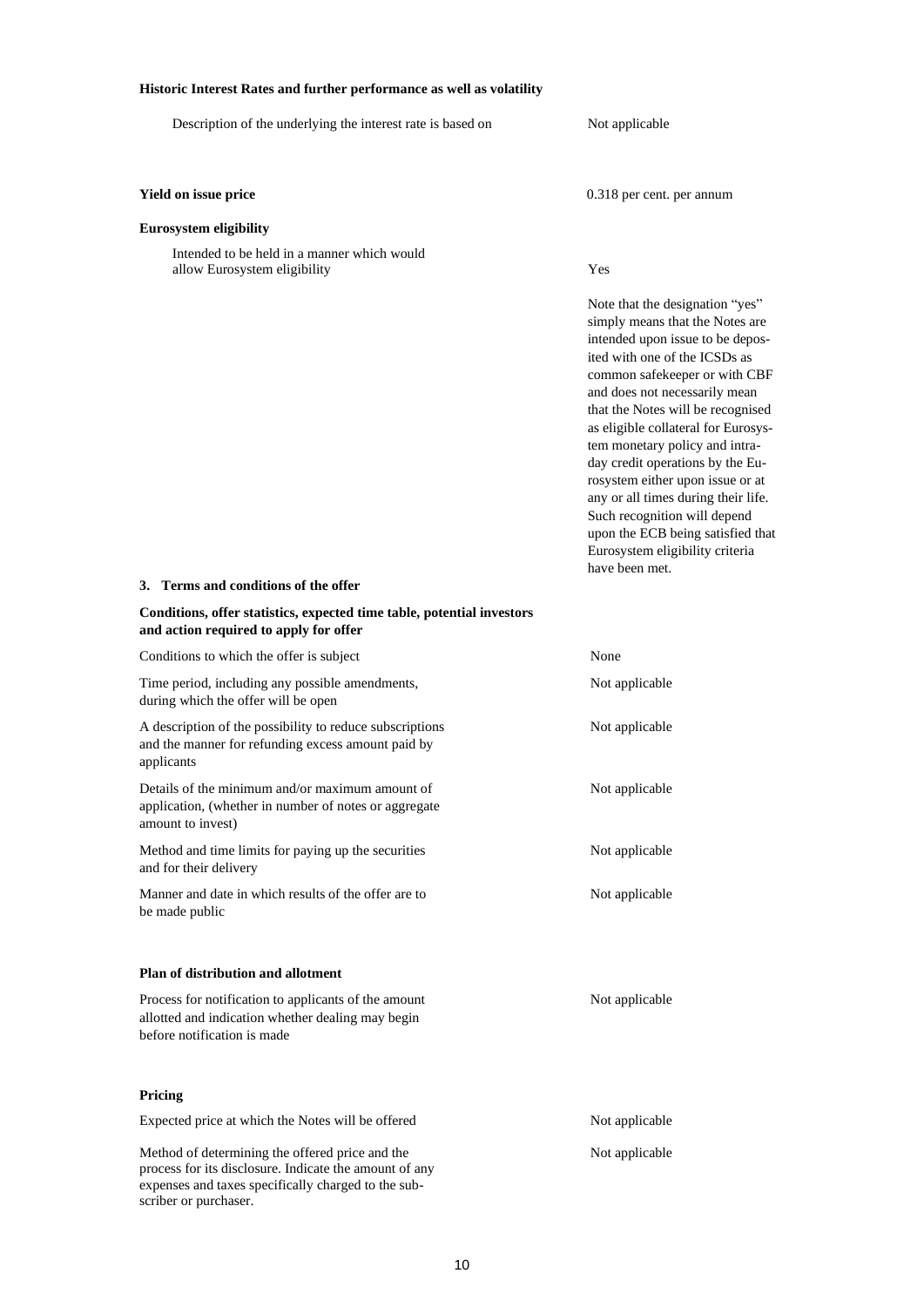# **Historic Interest Rates and further performance as well as volatility**

| HIStoric Interest Ivates and further performance as wen as volating                                                                                                                       |                                                                                                                                                                                                                                                                                                                                                                                                                                                                                                                                                                  |
|-------------------------------------------------------------------------------------------------------------------------------------------------------------------------------------------|------------------------------------------------------------------------------------------------------------------------------------------------------------------------------------------------------------------------------------------------------------------------------------------------------------------------------------------------------------------------------------------------------------------------------------------------------------------------------------------------------------------------------------------------------------------|
| Description of the underlying the interest rate is based on                                                                                                                               | Not applicable                                                                                                                                                                                                                                                                                                                                                                                                                                                                                                                                                   |
| Yield on issue price                                                                                                                                                                      | 0.318 per cent. per annum                                                                                                                                                                                                                                                                                                                                                                                                                                                                                                                                        |
| <b>Eurosystem eligibility</b>                                                                                                                                                             |                                                                                                                                                                                                                                                                                                                                                                                                                                                                                                                                                                  |
| Intended to be held in a manner which would<br>allow Eurosystem eligibility                                                                                                               | Yes                                                                                                                                                                                                                                                                                                                                                                                                                                                                                                                                                              |
|                                                                                                                                                                                           | Note that the designation "yes"<br>simply means that the Notes are<br>intended upon issue to be depos-<br>ited with one of the ICSDs as<br>common safekeeper or with CBF<br>and does not necessarily mean<br>that the Notes will be recognised<br>as eligible collateral for Eurosys-<br>tem monetary policy and intra-<br>day credit operations by the Eu-<br>rosystem either upon issue or at<br>any or all times during their life.<br>Such recognition will depend<br>upon the ECB being satisfied that<br>Eurosystem eligibility criteria<br>have been met. |
| 3. Terms and conditions of the offer                                                                                                                                                      |                                                                                                                                                                                                                                                                                                                                                                                                                                                                                                                                                                  |
| Conditions, offer statistics, expected time table, potential investors<br>and action required to apply for offer                                                                          |                                                                                                                                                                                                                                                                                                                                                                                                                                                                                                                                                                  |
| Conditions to which the offer is subject                                                                                                                                                  | None                                                                                                                                                                                                                                                                                                                                                                                                                                                                                                                                                             |
| Time period, including any possible amendments,<br>during which the offer will be open                                                                                                    | Not applicable                                                                                                                                                                                                                                                                                                                                                                                                                                                                                                                                                   |
| A description of the possibility to reduce subscriptions<br>and the manner for refunding excess amount paid by<br>applicants                                                              | Not applicable                                                                                                                                                                                                                                                                                                                                                                                                                                                                                                                                                   |
| Details of the minimum and/or maximum amount of<br>application, (whether in number of notes or aggregate<br>amount to invest)                                                             | Not applicable                                                                                                                                                                                                                                                                                                                                                                                                                                                                                                                                                   |
| Method and time limits for paying up the securities<br>and for their delivery                                                                                                             | Not applicable                                                                                                                                                                                                                                                                                                                                                                                                                                                                                                                                                   |
| Manner and date in which results of the offer are to<br>be made public                                                                                                                    | Not applicable                                                                                                                                                                                                                                                                                                                                                                                                                                                                                                                                                   |
| <b>Plan of distribution and allotment</b>                                                                                                                                                 |                                                                                                                                                                                                                                                                                                                                                                                                                                                                                                                                                                  |
| Process for notification to applicants of the amount<br>allotted and indication whether dealing may begin<br>before notification is made                                                  | Not applicable                                                                                                                                                                                                                                                                                                                                                                                                                                                                                                                                                   |
| Pricing                                                                                                                                                                                   |                                                                                                                                                                                                                                                                                                                                                                                                                                                                                                                                                                  |
| Expected price at which the Notes will be offered                                                                                                                                         | Not applicable                                                                                                                                                                                                                                                                                                                                                                                                                                                                                                                                                   |
| Method of determining the offered price and the<br>process for its disclosure. Indicate the amount of any<br>expenses and taxes specifically charged to the sub-<br>scriber or purchaser. | Not applicable                                                                                                                                                                                                                                                                                                                                                                                                                                                                                                                                                   |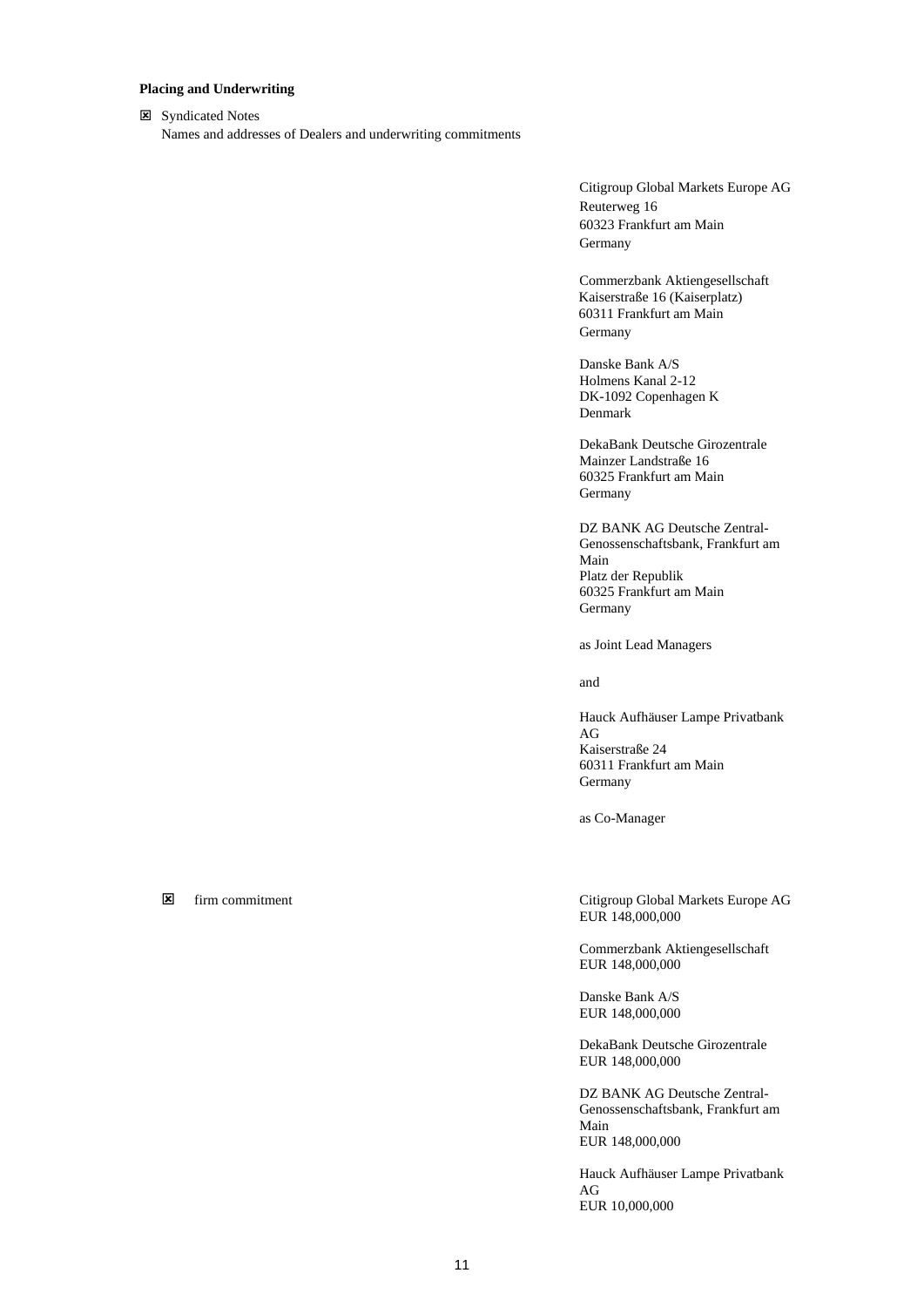# **Placing and Underwriting**

**E** Syndicated Notes Names and addresses of Dealers and underwriting commitments

> Citigroup Global Markets Europe AG Reuterweg 16 60323 Frankfurt am Main Germany

Commerzbank Aktiengesellschaft Kaiserstraße 16 (Kaiserplatz) 60311 Frankfurt am Main Germany

Danske Bank A/S Holmens Kanal 2-12 DK-1092 Copenhagen K Denmark

DekaBank Deutsche Girozentrale Mainzer Landstraße 16 60325 Frankfurt am Main Germany

DZ BANK AG Deutsche Zentral-Genossenschaftsbank, Frankfurt am Main Platz der Republik 60325 Frankfurt am Main Germany

as Joint Lead Managers

and

Hauck Aufhäuser Lampe Privatbank AG Kaiserstraße 24 60311 Frankfurt am Main Germany

as Co-Manager

 firm commitment Citigroup Global Markets Europe AG EUR 148,000,000

> Commerzbank Aktiengesellschaft EUR 148,000,000

Danske Bank A/S EUR 148,000,000

DekaBank Deutsche Girozentrale EUR 148,000,000

DZ BANK AG Deutsche Zentral-Genossenschaftsbank, Frankfurt am Main EUR 148,000,000

Hauck Aufhäuser Lampe Privatbank AG EUR 10,000,000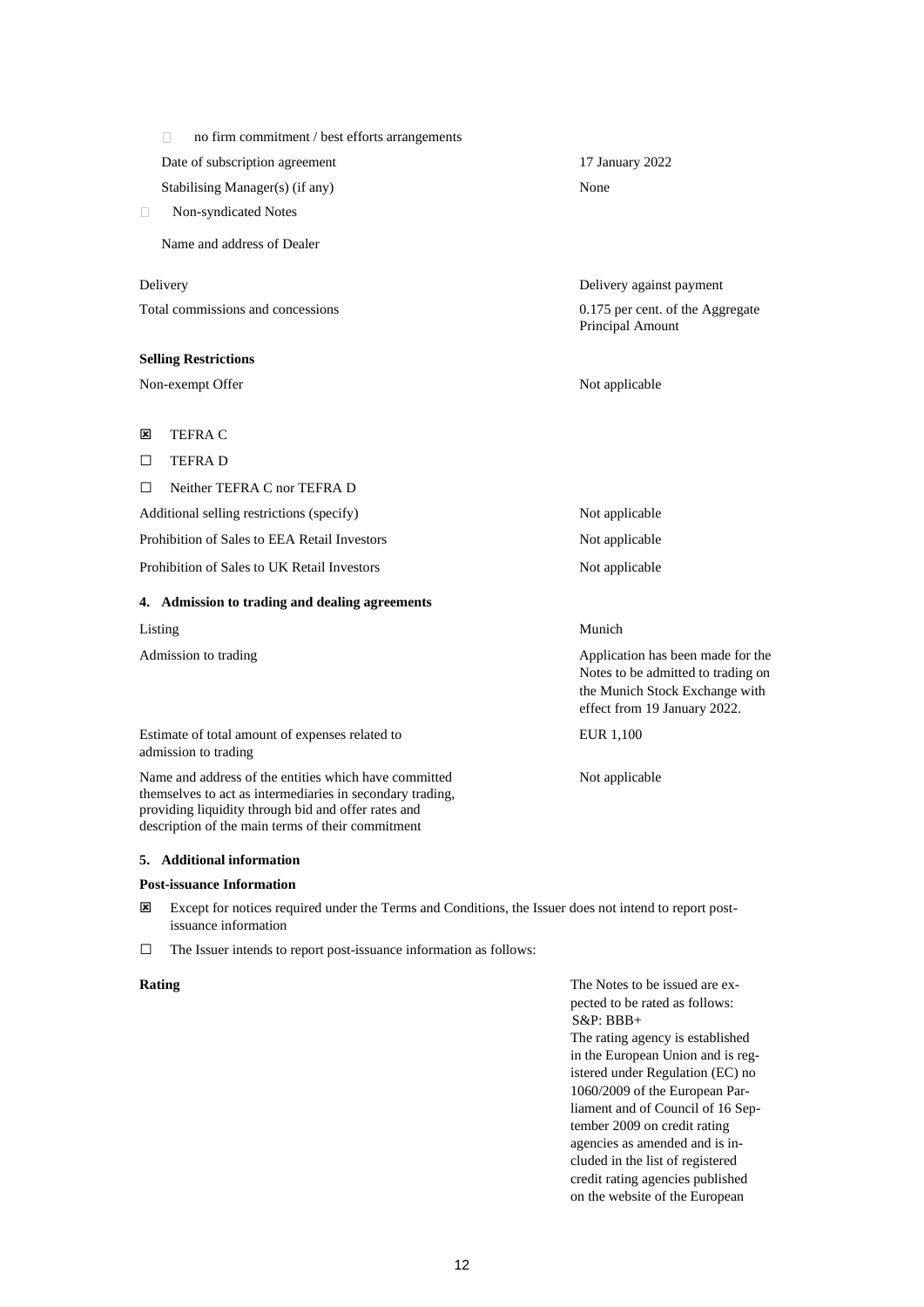| no firm commitment / best efforts arrangements |                                                                                                           |
|------------------------------------------------|-----------------------------------------------------------------------------------------------------------|
| Date of subscription agreement                 | 17 January 2022                                                                                           |
| Stabilising Manager(s) (if any)                | None                                                                                                      |
| Non-syndicated Notes<br>$\Box$                 |                                                                                                           |
| Name and address of Dealer                     |                                                                                                           |
| Delivery                                       | Delivery against payment                                                                                  |
| Total commissions and concessions              | 0.175 per cent. of the Aggregate<br>Principal Amount                                                      |
| <b>Selling Restrictions</b>                    |                                                                                                           |
| Non-exempt Offer                               | Not applicable                                                                                            |
| 図<br><b>TEFRAC</b>                             |                                                                                                           |
| <b>TEFRAD</b><br>□                             |                                                                                                           |
| $\Box$<br>Neither TEFRA C nor TEFRA D          |                                                                                                           |
| Additional selling restrictions (specify)      | Not applicable                                                                                            |
| Prohibition of Sales to EEA Retail Investors   | Not applicable                                                                                            |
| Prohibition of Sales to UK Retail Investors    | Not applicable                                                                                            |
| 4. Admission to trading and dealing agreements |                                                                                                           |
| Listing                                        | Munich                                                                                                    |
| Admission to trading                           | Application has been made for the<br>Notes to be admitted to trading on<br>the Munich Stock Exchange with |

Estimate of total amount of expenses related to EUR 1,100 admission to trading

Name and address of the entities which have committed Not applicable themselves to act as intermediaries in secondary trading, providing liquidity through bid and offer rates and description of the main terms of their commitment

# **5. Additional information**

#### **Post-issuance Information**

- Except for notices required under the Terms and Conditions, the Issuer does not intend to report postissuance information
- □ The Issuer intends to report post-issuance information as follows:

**Rating** The Notes to be issued are expected to be rated as follows: S&P: BBB+

effect from 19 January 2022.

The rating agency is established in the European Union and is registered under Regulation (EC) no 1060/2009 of the European Parliament and of Council of 16 September 2009 on credit rating agencies as amended and is included in the list of registered credit rating agencies published on the website of the European